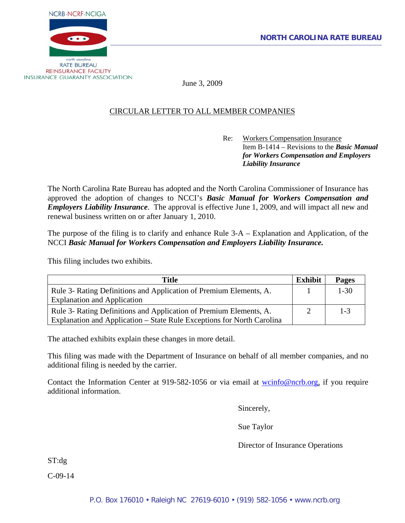

June 3, 2009

# CIRCULAR LETTER TO ALL MEMBER COMPANIES

Re: Workers Compensation Insurance Item B-1414 – Revisions to the *Basic Manual for Workers Compensation and Employers Liability Insurance* 

The North Carolina Rate Bureau has adopted and the North Carolina Commissioner of Insurance has approved the adoption of changes to NCCI's *Basic Manual for Workers Compensation and Employers Liability Insurance*. The approval is effective June 1, 2009, and will impact all new and renewal business written on or after January 1, 2010.

The purpose of the filing is to clarify and enhance Rule 3-A – Explanation and Application, of the NCCI *Basic Manual for Workers Compensation and Employers Liability Insurance.* 

This filing includes two exhibits.

| <b>Title</b>                                                           | <b>Exhibit</b> | <b>Pages</b> |
|------------------------------------------------------------------------|----------------|--------------|
| Rule 3- Rating Definitions and Application of Premium Elements, A.     |                | $1 - 30$     |
| <b>Explanation and Application</b>                                     |                |              |
| Rule 3- Rating Definitions and Application of Premium Elements, A.     |                | $1 - 3$      |
| Explanation and Application – State Rule Exceptions for North Carolina |                |              |

The attached exhibits explain these changes in more detail.

This filing was made with the Department of Insurance on behalf of all member companies, and no additional filing is needed by the carrier.

Contact the Information Center at 919-582-1056 or via email at [wcinfo@ncrb.org,](mailto:wcinfo@ncrb.org) if you require additional information.

Sincerely,

Sue Taylor

Director of Insurance Operations

ST:dg

C-09-14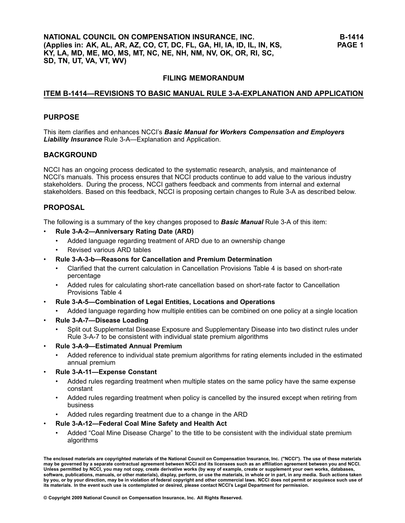# **FILING MEMORANDUM**

#### **ITEM B1414—REVISIONS TO BASIC MANUAL RULE 3AEXPLANATION AND APPLICATION**

#### **PURPOSE**

This item clarifies and enhances NCCI's *Basic Manual for Workers Compensation and Employers Liability Insurance* Rule 3-A—Explanation and Application.

#### **BACKGROUND**

NCCI has an ongoing process dedicated to the systematic research, analysis, and maintenance of NCCI's manuals. This process ensures that NCCI products continue to add value to the various industry stakeholders. During the process, NCCI gathers feedback and comments from internal and external stakeholders. Based on this feedback, NCCI is proposing certain changes to Rule 3-A as described below.

# **PROPOSAL**

•

•

•

The following is <sup>a</sup> summary of the key changes proposed to *Basic Manual* Rule 3A of this item:

- • **Rule 3A2—Anniversary Rating Date (ARD)**
	- •Added language regarding treatment of ARD due to an ownership change
	- •Revised various ARD tables
	- **Rule 3A3b—Reasons for Cancellation and Premium Determination**
	- •Clarified that the current calculation in Cancellation Provisions Table 4 is based on short-rate percentage
	- •Added rules for calculating short-rate cancellation based on short-rate factor to Cancellation Provisions Table <sup>4</sup>
- **Rule 3A5—Combination of Legal Entities, Locations and Operations**
	- •Added language regarding how multiple entities can be combined on one policy at <sup>a</sup> single location
- • **Rule 3A7—Disease Loading**
	- • Split out Supplemental Disease Exposure and Supplementary Disease into two distinct rules under Rule 3-A-7 to be consistent with individual state premium algorithms
- • **Rule 3A9—Estimated Annual Premium**
	- • Added reference to individual state premium algorithms for rating elements included in the estimated annual premium
- • **Rule 3A11—Expense Constant**
	- • Added rules regarding treatment when multiple states on the same policy have the same expense constant
	- • Added rules regarding treatment when policy is cancelled by the insured except when retiring from business
	- •Added rules regarding treatment due to <sup>a</sup> change in the ARD

#### •**Rule 3A12—Federal Coal Mine Safety and Health Act**

 Added "Coal Mine Disease Charge" to the title to be consistent with the individual state premium algorithms

The enclosed materials are copyrighted materials of the National Council on Compensation Insurance, Inc. ("NCCI"). The use of these materials may be governed by a separate contractual agreement between NCCI and its licensees such as an affiliation agreement between you and NCCI. Unless permitted by NCCI, you may not copy, create derivative works (by way of example, create or supplement your own works, databases, software, publications, manuals, or other materials), display, perform, or use the materials, in whole or in part, in any media. Such actions taken by you, or by your direction, may be in violation of federal copyright and other commercial laws. NCCI does not permit or acquiesce such use of its materials. In the event such use is contemplated or desired, please contact NCCI's Legal Department for permission.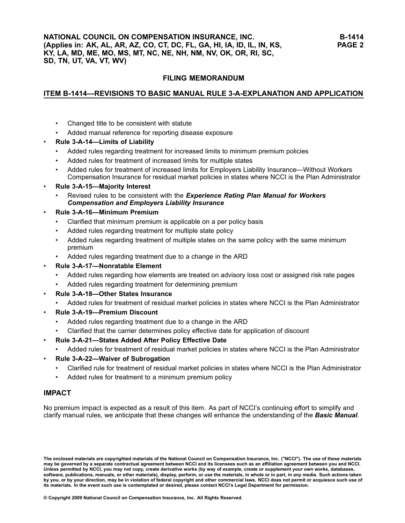# **FILING MEMORANDUM**

# **ITEM B1414—REVISIONS TO BASIC MANUAL RULE 3AEXPLANATION AND APPLICATION**

- •Changed title to be consistent with statute
- •Added manual reference for reporting disease exposure
- • **Rule 3A14—Limits of Liability**
	- •Added rules regarding treatment for increased limits to minimum premium policies
	- •Added rules for treatment of increased limits for multiple states
	- • Added rules for treatment of increased limits for Employers Liability Insurance—Without Workers Compensation Insurance for residual market policies in states where NCCI is the Plan Administrator

#### •**Rule 3A15—Majority Interest**

• Revised rules to be consistent with the *Experience Rating Plan Manual for Workers Compensation and Employers Liability Insurance*

#### •**Rule 3A16—Minimum Premium**

- •Clarified that minimum premium is applicable on <sup>a</sup> per policy basis
- •Added rules regarding treatment for multiple state policy
- • Added rules regarding treatment of multiple states on the same policy with the same minimum premium
- •Added rules regarding treatment due to <sup>a</sup> change in the ARD
- • **Rule 3A17—Nonratable Element**
	- •Added rules regarding how elements are treated on advisory loss cost or assigned risk rate pages
	- •Added rules regarding treatment for determining premium
- • **Rule 3A18—Other States Insurance**
	- •Added rules for treatment of residual market policies in states where NCCI is the Plan Administrator
- • **Rule 3A19—Premium Discount**
	- •Added rules regarding treatment due to <sup>a</sup> change in the ARD
	- •Clarified that the carrier determines policy effective date for application of discount
- • **Rule 3A21—States Added After Policy Effective Date**
	- •Added rules for treatment of residual market policies in states where NCCI is the Plan Administrator
- • **Rule 3A22—Waiver of Subrogation**
	- •Clarified rule for treatment of residual market policies in states where NCCI is the Plan Administrator
	- •Added rules for treatment to <sup>a</sup> minimum premium policy

# **IMPACT**

No premium impact is expected as <sup>a</sup> result of this item. As part of NCCI's continuing effort to simplify and clarify manual rules, we anticipate that these changes will enhance the understanding of the *Basic Manual*.

The enclosed materials are copyrighted materials of the National Council on Compensation Insurance, Inc. ("NCCI"). The use of these materials may be governed by a separate contractual agreement between NCCI and its licensees such as an affiliation agreement between you and NCCI. Unless permitted by NCCI, you may not copy, create derivative works (by way of example, create or supplement your own works, databases, software, publications, manuals, or other materials), display, perform, or use the materials, in whole or in part, in any media. Such actions taken by you, or by your direction, may be in violation of federal copyright and other commercial laws. NCCI does not permit or acquiesce such use of its materials. In the event such use is contemplated or desired, please contact NCCI's Legal Department for permission.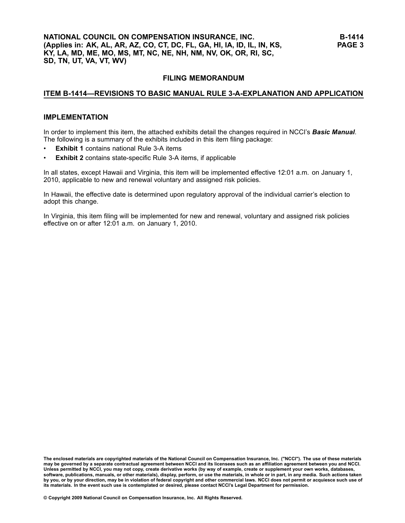# **FILING MEMORANDUM**

#### **ITEM B1414—REVISIONS TO BASIC MANUAL RULE 3AEXPLANATION AND APPLICATION**

#### **IMPLEMENTATION**

In order to implement this item, the attached exhibits detail the changes required in NCCI's *Basic Manual*. The following is <sup>a</sup> summary of the exhibits included in this item filing package:

- •**Exhibit 1** contains national Rule 3-A items
- •**Exhibit 2** contains state-specific Rule 3-A items, if applicable

In all states, except Hawaii and Virginia, this item will be implemented effective 12:01 a.m. on January 1, 2010, applicable to new and renewal voluntary and assigned risk policies.

In Hawaii, the effective date is determined upon regulatory approval of the individual carrier's election to adopt this change.

In Virginia, this item filing will be implemented for new and renewal, voluntary and assigned risk policies effective on or after 12:01 a.m. on January 1, 2010.

The enclosed materials are copyrighted materials of the National Council on Compensation Insurance, Inc. ("NCCI"). The use of these materials may be governed by a separate contractual agreement between NCCI and its licensees such as an affiliation agreement between you and NCCI. Unless permitted by NCCI, you may not copy, create derivative works (by way of example, create or supplement your own works, databases, software, publications, manuals, or other materials), display, perform, or use the materials, in whole or in part, in any media. Such actions taken by you, or by your direction, may be in violation of federal copyright and other commercial laws. NCCI does not permit or acquiesce such use of its materials. In the event such use is contemplated or desired, please contact NCCI's Legal Department for permission.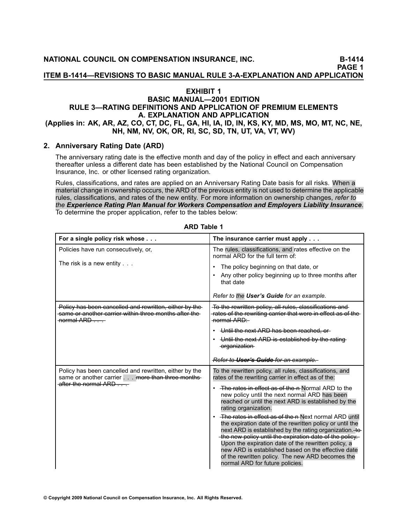**PAGE <sup>1</sup> ITEM B1414—REVISIONS TO BASIC MANUAL RULE 3AEXPLANATION AND APPLICATION**

# **EXHIBIT <sup>1</sup>**

#### **BASIC MANUAL—2001 EDITION RULE 3—RATING DEFINITIONS AND APPLICATION OF PREMIUM ELEMENTS A. EXPLANATION AND APPLICATION** (Applies in: AK, AR, AZ, CO, CT, DC, FL, GA, HI, IA, ID, IN, KS, KY, MD, MS, MO, MT, NC, NE, NH, NM, NV, OK, OR, RI, SC, SD, TN, UT, VA, VT, WV)

# **2. Anniversary Rating Date (ARD)**

The [anniversary](file:///C:/manuscript/hyperlink.asp?docid=Glossary-AnniversaryRatingDate<?Pub & EntityName=amp>manualtitle=glossary) rating date is the effective month and day of the policy in effect and each anniversary thereafter unless <sup>a</sup> different date has been established by the National Council on Compensation Insurance, Inc. or other licensed rating organization.

Rules, classifications, and rates are applied on an Anniversary Rating Date basis for all [risks](file:///C:/manuscript/hyperlink.asp?docid=Glossary-Risk<?Pub & EntityName=amp>manualtitle=glossary). When <sup>a</sup> material change in ownership occurs, the ARD of the previous entity is not used to determine the applicable rules, classifications, and rates of the new entity. For more information on ownership changes, *refer to* the Experience Rating Plan Manual for Workers Compensation and Employers Liability Insurance. To determine the proper application, refer to the tables below:

| For a single policy risk whose                                                                                                                      | The insurance carrier must apply                                                                                                                                                                                                                                                                                                                                                                                                            |
|-----------------------------------------------------------------------------------------------------------------------------------------------------|---------------------------------------------------------------------------------------------------------------------------------------------------------------------------------------------------------------------------------------------------------------------------------------------------------------------------------------------------------------------------------------------------------------------------------------------|
| Policies have run consecutively, or,                                                                                                                | The rules, classifications, and rates effective on the<br>normal ARD for the full term of:                                                                                                                                                                                                                                                                                                                                                  |
| The risk is a new entity $\ldots$                                                                                                                   | The policy beginning on that date, or                                                                                                                                                                                                                                                                                                                                                                                                       |
|                                                                                                                                                     | Any other policy beginning up to three months after<br>that date                                                                                                                                                                                                                                                                                                                                                                            |
|                                                                                                                                                     | Refer to the User's Guide for an example.                                                                                                                                                                                                                                                                                                                                                                                                   |
| Policy has been cancelled and rewritten, either by the<br>same or another carrier within three months after the<br>normal ARD                       | To the rewritten policy, all rules, classifications and<br>rates of the rewriting carrier that were in effect as of the<br>normal ARD:                                                                                                                                                                                                                                                                                                      |
|                                                                                                                                                     | Until the next ARD has been reached, or                                                                                                                                                                                                                                                                                                                                                                                                     |
|                                                                                                                                                     | Until the next ARD is established by the rating<br>-organization-                                                                                                                                                                                                                                                                                                                                                                           |
|                                                                                                                                                     | Refer to User's Guide for an example.                                                                                                                                                                                                                                                                                                                                                                                                       |
| Policy has been cancelled and rewritten, either by the<br>same or another carrier more than three months-<br>after the normal $ARD \nightharpoonup$ | To the rewritten policy, all rules, classifications, and<br>rates of the rewriting carrier in effect as of the:                                                                                                                                                                                                                                                                                                                             |
|                                                                                                                                                     | The rates in effect as of the n-Normal ARD to the<br>new policy until the next normal ARD has been<br>reached or until the next ARD is established by the<br>rating organization.                                                                                                                                                                                                                                                           |
|                                                                                                                                                     | The rates in effect as of the n Next normal ARD until<br>the expiration date of the rewritten policy or until the<br>next ARD is established by the rating organization. to<br>-the new policy until the expiration date of the policy.<br>Upon the expiration date of the rewritten policy, a<br>new ARD is established based on the effective date<br>of the rewritten policy. The new ARD becomes the<br>normal ARD for future policies. |

**ARD Table <sup>1</sup>**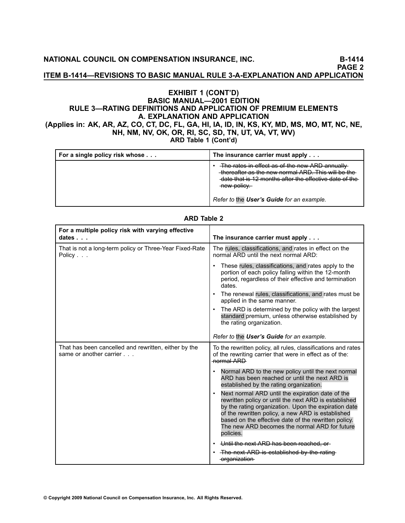**NATIONAL COUNCIL ON COMPENSATION INSURANCE, INC. B1414**

**PAGE <sup>2</sup>**

**ITEM B1414—REVISIONS TO BASIC MANUAL RULE 3AEXPLANATION AND APPLICATION**

# **EXHIBIT <sup>1</sup> (CONT'D) BASIC MANUAL—2001 EDITION RULE 3—RATING DEFINITIONS AND APPLICATION OF PREMIUM ELEMENTS A. EXPLANATION AND APPLICATION** (Applies in: AK, AR, AZ, CO, CT, DC, FL, GA, HI, IA, ID, IN, KS, KY, MD, MS, MO, MT, NC, NE,

NH, NM, NV, OK, OR, RI, SC, SD, TN, UT, VA, VT, WV)<br>ARD Table 1 (Cont'd) **ARD Table <sup>1</sup> (Cont'd)**

| For a single policy risk whose | The insurance carrier must apply                                                                                                                                              |
|--------------------------------|-------------------------------------------------------------------------------------------------------------------------------------------------------------------------------|
|                                | The rates in effect as of the new ARD annually<br>thereafter as the new normal ARD. This will be the<br>date that is 12 months after the effective date of the<br>new policy. |
|                                | Refer to the User's Guide for an example.                                                                                                                                     |

| For a multiple policy risk with varying effective<br>dates $\ldots$             | The insurance carrier must apply                                                                                                                                                                                                                                                                                                                          |
|---------------------------------------------------------------------------------|-----------------------------------------------------------------------------------------------------------------------------------------------------------------------------------------------------------------------------------------------------------------------------------------------------------------------------------------------------------|
| That is not a long-term policy or Three-Year Fixed-Rate<br>Policy               | The rules, classifications, and rates in effect on the<br>normal ARD until the next normal ARD:                                                                                                                                                                                                                                                           |
|                                                                                 | These rules, classifications, and rates apply to the<br>portion of each policy falling within the 12-month<br>period, regardless of their effective and termination<br>dates.                                                                                                                                                                             |
|                                                                                 | The renewal rules, classifications, and rates must be<br>٠<br>applied in the same manner.                                                                                                                                                                                                                                                                 |
|                                                                                 | The ARD is determined by the policy with the largest<br>standard premium, unless otherwise established by<br>the rating organization.                                                                                                                                                                                                                     |
|                                                                                 | Refer to the User's Guide for an example.                                                                                                                                                                                                                                                                                                                 |
| That has been cancelled and rewritten, either by the<br>same or another carrier | To the rewritten policy, all rules, classifications and rates<br>of the rewriting carrier that were in effect as of the:<br>normal ARD                                                                                                                                                                                                                    |
|                                                                                 | Normal ARD to the new policy until the next normal<br>$\bullet$<br>ARD has been reached or until the next ARD is<br>established by the rating organization.                                                                                                                                                                                               |
|                                                                                 | Next normal ARD until the expiration date of the<br>$\bullet$<br>rewritten policy or until the next ARD is established<br>by the rating organization. Upon the expiration date<br>of the rewritten policy, a new ARD is established<br>based on the effective date of the rewritten policy.<br>The new ARD becomes the normal ARD for future<br>policies. |
|                                                                                 | Until the next ARD has been reached, or                                                                                                                                                                                                                                                                                                                   |
|                                                                                 | • The next ARD is established by the rating<br>-organization-                                                                                                                                                                                                                                                                                             |

#### **ARD Table <sup>2</sup>**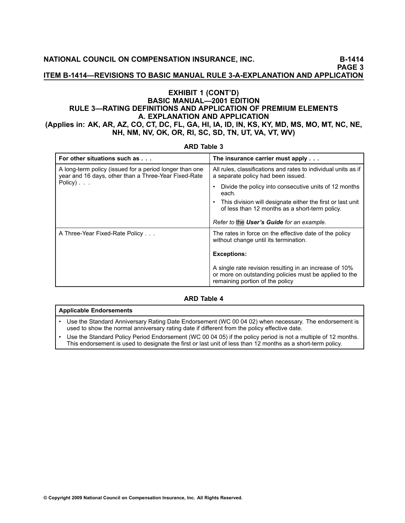**ITEM B1414—REVISIONS TO BASIC MANUAL RULE 3AEXPLANATION AND APPLICATION**

# **EXHIBIT <sup>1</sup> (CONT'D) BASIC MANUAL—2001 EDITION RULE 3—RATING DEFINITIONS AND APPLICATION OF PREMIUM ELEMENTS A. EXPLANATION AND APPLICATION** (Applies in: AK, AR, AZ, CO, CT, DC, FL, GA, HI, IA, ID, IN, KS, KY, MD, MS, MO, MT, NC, NE, NH, NM, NV, OK, OR, RI, SC, SD, TN, UT, VA, VT, WV)

| ARD Table 3                                                                                                                                     |                                                                                                                                                     |  |
|-------------------------------------------------------------------------------------------------------------------------------------------------|-----------------------------------------------------------------------------------------------------------------------------------------------------|--|
| For other situations such as                                                                                                                    | The insurance carrier must apply                                                                                                                    |  |
| A long-term policy (issued for a period longer than one<br>year and 16 days, other than a Three-Year Fixed-Rate<br>Policy $) \cdot \cdot \cdot$ | All rules, classifications and rates to individual units as if<br>a separate policy had been issued.                                                |  |
|                                                                                                                                                 | Divide the policy into consecutive units of 12 months<br>each.                                                                                      |  |
|                                                                                                                                                 | This division will designate either the first or last unit<br>of less than 12 months as a short-term policy.                                        |  |
|                                                                                                                                                 | Refer to the User's Guide for an example.                                                                                                           |  |
| A Three-Year Fixed-Rate Policy                                                                                                                  | The rates in force on the effective date of the policy<br>without change until its termination.                                                     |  |
|                                                                                                                                                 | <b>Exceptions:</b>                                                                                                                                  |  |
|                                                                                                                                                 | A single rate revision resulting in an increase of 10%<br>or more on outstanding policies must be applied to the<br>remaining portion of the policy |  |

# **ARD Table <sup>3</sup>**

#### **ARD Table <sup>4</sup>**

#### **Applicable Endorsements**

- • Use the Standard Anniversary Rating Date Endorsement (WC <sup>00</sup> <sup>04</sup> 02) when necessary. The endorsement is used to show the normal anniversary rating date if different from the policy effective date.
- • Use the Standard Policy Period Endorsement (WC <sup>00</sup> <sup>04</sup> 05) if the policy period is not <sup>a</sup> multiple of <sup>12</sup> months. This endorsement is used to designate the first or last unit of less than 12 months as a short-term policy.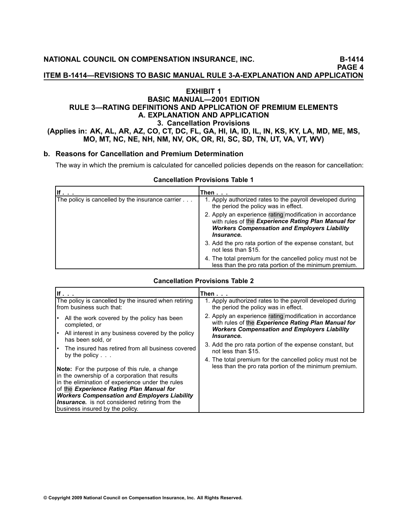**ITEM B1414—REVISIONS TO BASIC MANUAL RULE 3AEXPLANATION AND APPLICATION**

## **EXHIBIT <sup>1</sup> BASIC MANUAL—2001 EDITION RULE 3—RATING DEFINITIONS AND APPLICATION OF PREMIUM ELEMENTS A. EXPLANATION AND APPLICATION 3. Cancellation Provisions** (Applies in: AK, AL, AR, AZ, CO, CT, DC, FL, GA, HI, IA, ID, IL, IN, KS, KY, LA, MD, ME, MS, MO, MT, NC, NE, NH, NM, NV, OK, OR, RI, SC, SD, TN, UT, VA, VT, WV)

#### **b. Reasons for Cancellation and Premium Determination**

The way in which the premium is calculated for cancelled policies depends on the reason for cancellation:

#### **Cancellation Provisions Table <sup>1</sup>**

|                                                  | Then                                                                                                                                                                                        |
|--------------------------------------------------|---------------------------------------------------------------------------------------------------------------------------------------------------------------------------------------------|
| The policy is cancelled by the insurance carrier | 1. Apply authorized rates to the payroll developed during<br>the period the policy was in effect.                                                                                           |
|                                                  | 2. Apply an experience rating modification in accordance<br>with rules of the Experience Rating Plan Manual for<br><b>Workers Compensation and Employers Liability</b><br><i>Insurance.</i> |
|                                                  | 3. Add the pro rata portion of the expense constant, but<br>not less than \$15.                                                                                                             |
|                                                  | 4. The total premium for the cancelled policy must not be.<br>less than the pro rata portion of the minimum premium.                                                                        |

|                                                                                                                                                                                                                                                                                                                                                                                                                                                                                                                                                                                    | Then $\ldots$                                                                                                                                                                                                                                                                                                                                                                                                        |
|------------------------------------------------------------------------------------------------------------------------------------------------------------------------------------------------------------------------------------------------------------------------------------------------------------------------------------------------------------------------------------------------------------------------------------------------------------------------------------------------------------------------------------------------------------------------------------|----------------------------------------------------------------------------------------------------------------------------------------------------------------------------------------------------------------------------------------------------------------------------------------------------------------------------------------------------------------------------------------------------------------------|
| The policy is cancelled by the insured when retiring<br>from business such that:                                                                                                                                                                                                                                                                                                                                                                                                                                                                                                   | 1. Apply authorized rates to the payroll developed during<br>the period the policy was in effect.                                                                                                                                                                                                                                                                                                                    |
| All the work covered by the policy has been<br>completed, or<br>All interest in any business covered by the policy<br>has been sold, or<br>The insured has retired from all business covered<br>by the policy $\ldots$<br><b>Note:</b> For the purpose of this rule, a change<br>in the ownership of a corporation that results<br>in the elimination of experience under the rules<br>of the Experience Rating Plan Manual for<br><b>Workers Compensation and Employers Liability</b><br><b>Insurance.</b> is not considered retiring from the<br>business insured by the policy. | 2. Apply an experience rating modification in accordance<br>with rules of the Experience Rating Plan Manual for<br><b>Workers Compensation and Employers Liability</b><br><i><u><b>Insurance.</b></u></i><br>3. Add the pro rata portion of the expense constant, but<br>not less than \$15.<br>4. The total premium for the cancelled policy must not be.<br>less than the pro rata portion of the minimum premium. |

#### **Cancellation Provisions Table <sup>2</sup>**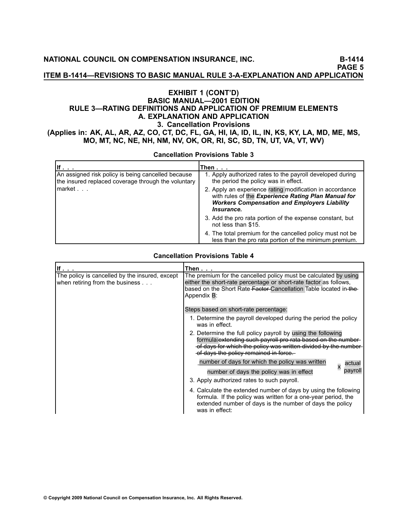**ITEM B1414—REVISIONS TO BASIC MANUAL RULE 3AEXPLANATION AND APPLICATION**

# **EXHIBIT <sup>1</sup> (CONT'D) BASIC MANUAL—2001 EDITION RULE 3—RATING DEFINITIONS AND APPLICATION OF PREMIUM ELEMENTS A. EXPLANATION AND APPLICATION 3. Cancellation Provisions** (Applies in: AK, AL, AR, AZ, CO, CT, DC, FL, GA, HI, IA, ID, IL, IN, KS, KY, LA, MD, ME, MS, MO, MT, NC, NE, NH, NM, NV, OK, OR, RI, SC, SD, TN, UT, VA, VT, WV)

**Cancellation Provisions Table <sup>3</sup>**

| llf.                                                                                                      | Then                                                                                                                                                                                                      |
|-----------------------------------------------------------------------------------------------------------|-----------------------------------------------------------------------------------------------------------------------------------------------------------------------------------------------------------|
| An assigned risk policy is being cancelled because<br>the insured replaced coverage through the voluntary | 1. Apply authorized rates to the payroll developed during<br>the period the policy was in effect.                                                                                                         |
| market                                                                                                    | 2. Apply an experience rating modification in accordance<br>with rules of the Experience Rating Plan Manual for<br><b>Workers Compensation and Employers Liability</b><br><i><u><b>Insurance.</b></u></i> |
|                                                                                                           | 3. Add the pro rata portion of the expense constant, but<br>not less than \$15.                                                                                                                           |
|                                                                                                           | 4. The total premium for the cancelled policy must not be.<br>less than the pro rata portion of the minimum premium.                                                                                      |

#### **Cancellation Provisions Table <sup>4</sup>**

| If $\ldots$                                                                       | Then $\ldots$                                                                                                                                                                                                                          |
|-----------------------------------------------------------------------------------|----------------------------------------------------------------------------------------------------------------------------------------------------------------------------------------------------------------------------------------|
| The policy is cancelled by the insured, except<br>when retiring from the business | The premium for the cancelled policy must be calculated by using<br>either the short-rate percentage or short-rate factor as follows,<br>based on the Short Rate Factor-Cancellation Table located in the-<br>Appendix B:              |
|                                                                                   | Steps based on short-rate percentage:                                                                                                                                                                                                  |
|                                                                                   | 1. Determine the payroll developed during the period the policy<br>was in effect.                                                                                                                                                      |
|                                                                                   | 2. Determine the full policy payroll by using the following<br>formula: extending such payroll pro rata based on the number<br>of days for which the policy was written divided by the number<br>of days the policy remained in force. |
|                                                                                   | number of days for which the policy was written<br>actual                                                                                                                                                                              |
|                                                                                   | pavrol<br>number of days the policy was in effect                                                                                                                                                                                      |
|                                                                                   | 3. Apply authorized rates to such payroll.                                                                                                                                                                                             |
|                                                                                   | 4. Calculate the extended number of days by using the following<br>formula. If the policy was written for a one-year period, the<br>extended number of days is the number of days the policy<br>was in effect:                         |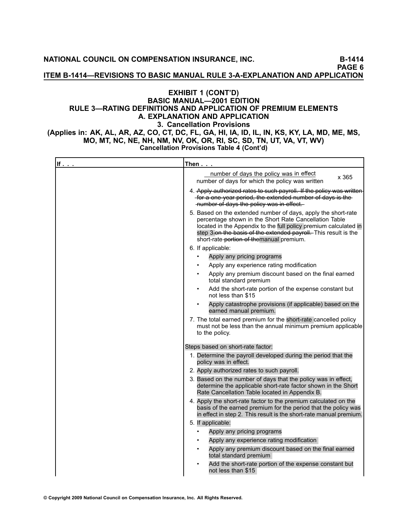**NATIONAL COUNCIL ON COMPENSATION INSURANCE, INC. B1414**

**PAGE <sup>6</sup>**

**ITEM B1414—REVISIONS TO BASIC MANUAL RULE 3AEXPLANATION AND APPLICATION**

# **EXHIBIT <sup>1</sup> (CONT'D) BASIC MANUAL—2001 EDITION RULE 3—RATING DEFINITIONS AND APPLICATION OF PREMIUM ELEMENTS A. EXPLANATION AND APPLICATION 3. Cancellation Provisions** (Applies in: AK, AL, AR, AZ, CO, CT, DC, FL, GA, HI, IA, ID, IL, IN, KS, KY, LA, MD, ME, MS,

MO, MT, NC, NE, NH, NM, NV, OK, OR, RI, SC, SD, TN, UT, VA, VT, WV)<br>Cancellation Provisions Table 4 (Cont'd) **Cancellation Provisions Table <sup>4</sup> (Cont'd)**

| If $\ldots$ | Then $\ldots$                                                                                                                                                                                                                                                                                             |
|-------------|-----------------------------------------------------------------------------------------------------------------------------------------------------------------------------------------------------------------------------------------------------------------------------------------------------------|
|             | number of days the policy was in effect<br>x 365<br>number of days for which the policy was written                                                                                                                                                                                                       |
|             | 4. Apply authorized rates to such payroll. If the policy was written<br>-for a one year period, the extended number of days is the<br>-number of days the policy was in effect.                                                                                                                           |
|             | 5. Based on the extended number of days, apply the short-rate<br>percentage shown in the Short Rate Cancellation Table<br>located in the Appendix to the full policy premium calculated in<br>step 3-on the basis of the extended payroll. This result is the<br>short-rate-portion of themanual premium. |
|             | 6. If applicable:                                                                                                                                                                                                                                                                                         |
|             | Apply any pricing programs                                                                                                                                                                                                                                                                                |
|             | Apply any experience rating modification                                                                                                                                                                                                                                                                  |
|             | Apply any premium discount based on the final earned<br>total standard premium                                                                                                                                                                                                                            |
|             | Add the short-rate portion of the expense constant but<br>not less than \$15                                                                                                                                                                                                                              |
|             | Apply catastrophe provisions (if applicable) based on the<br>earned manual premium.                                                                                                                                                                                                                       |
|             | 7. The total earned premium for the short-rate cancelled policy<br>must not be less than the annual minimum premium applicable<br>to the policy.                                                                                                                                                          |
|             | Steps based on short-rate factor:                                                                                                                                                                                                                                                                         |
|             | 1. Determine the payroll developed during the period that the<br>policy was in effect.                                                                                                                                                                                                                    |
|             | 2. Apply authorized rates to such payroll.                                                                                                                                                                                                                                                                |
|             | 3. Based on the number of days that the policy was in effect,<br>determine the applicable short-rate factor shown in the Short<br>Rate Cancellation Table located in Appendix B.                                                                                                                          |
|             | 4. Apply the short-rate factor to the premium calculated on the<br>basis of the earned premium for the period that the policy was<br>in effect in step 2. This result is the short-rate manual premium.                                                                                                   |
|             | 5. If applicable:                                                                                                                                                                                                                                                                                         |
|             | Apply any pricing programs                                                                                                                                                                                                                                                                                |
|             | Apply any experience rating modification                                                                                                                                                                                                                                                                  |
|             | Apply any premium discount based on the final earned<br>total standard premium                                                                                                                                                                                                                            |
|             | Add the short-rate portion of the expense constant but<br>not less than \$15                                                                                                                                                                                                                              |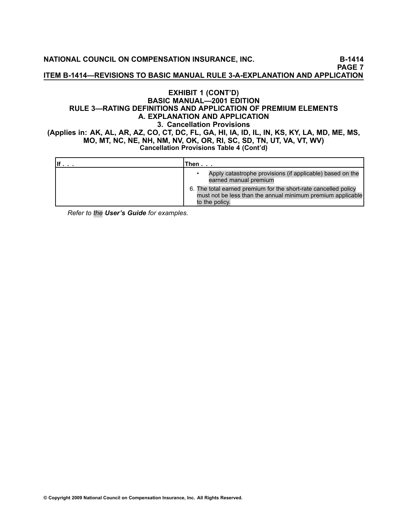**NATIONAL COUNCIL ON COMPENSATION INSURANCE, INC. B1414**

**PAGE <sup>7</sup>**

**ITEM B1414—REVISIONS TO BASIC MANUAL RULE 3AEXPLANATION AND APPLICATION**

# **EXHIBIT <sup>1</sup> (CONT'D) BASIC MANUAL—2001 EDITION RULE 3—RATING DEFINITIONS AND APPLICATION OF PREMIUM ELEMENTS A. EXPLANATION AND APPLICATION 3. Cancellation Provisions** (Applies in: AK, AL, AR, AZ, CO, CT, DC, FL, GA, HI, IA, ID, IL, IN, KS, KY, LA, MD, ME, MS, MO, MT, NC, NE, NH, NM, NV, OK, OR, RI, SC, SD, TN, UT, VA, VT, WV) **Cancellation Provisions Table <sup>4</sup> (Cont'd)**

| Then...                                                                                                                                          |
|--------------------------------------------------------------------------------------------------------------------------------------------------|
| Apply catastrophe provisions (if applicable) based on the<br>earned manual premium                                                               |
| 6. The total earned premium for the short-rate cancelled policy<br>must not be less than the annual minimum premium applicable<br>to the policy. |

*Refer to the [User's](file:///C:/manuscript/hyperlink.asp?docid=usersguide-G-examples-Rule3-A-3-b<?Pub & EntityName=amp>manualtitle=usersguidexml) Guide for examples.*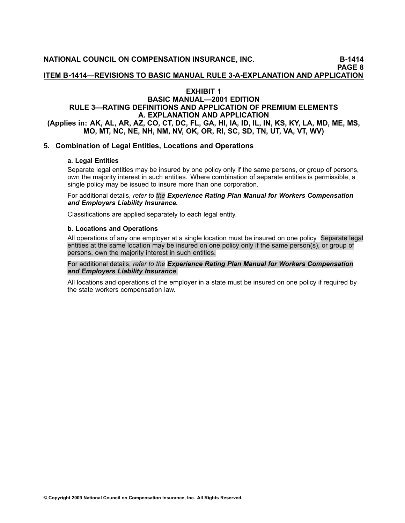**ITEM B1414—REVISIONS TO BASIC MANUAL RULE 3AEXPLANATION AND APPLICATION**

# **EXHIBIT <sup>1</sup>**

# **BASIC MANUAL—2001 EDITION RULE 3—RATING DEFINITIONS AND APPLICATION OF PREMIUM ELEMENTS A. EXPLANATION AND APPLICATION** (Applies in: AK, AL, AR, AZ, CO, CT, DC, FL, GA, HI, IA, ID, IL, IN, KS, KY, LA, MD, ME, MS, MO, MT, NC, NE, NH, NM, NV, OK, OR, RI, SC, SD, TN, UT, VA, VT, WV)

# **5. Combination of Legal Entities, Locations and Operations**

#### **a. Legal Entities**

Separate legal entities may be insured by one policy only if the same persons, or group of persons, own the majority interest in such entities. Where combination of separate entities is permissible, <sup>a</sup> single policy may be issued to insure more than one corporation.

For additional details, *refer to the Experience Rating Plan Manual for Workers [Compensation](file:///C:/manuscript/processlink.asp?manual=underwriting) and [Employers](file:///C:/manuscript/processlink.asp?manual=underwriting) Liability Insurance.*

Classifications are applied separately to each legal entity.

#### **b. Locations and Operations**

All operations of any one employer at <sup>a</sup> single location must be insured on one policy. Separate legal entities at the same location may be insured on one policy only if the same person(s), or group of persons, own the majority interest in such entities.

#### For additional details, *refer to the Experience Rating Plan Manual for Workers [Compensation](https://www.ncci.com/Manuals/Experience2003/National/Experience2003-National.htm) and [Employers](https://www.ncci.com/Manuals/Experience2003/National/Experience2003-National.htm) Liability Insurance*.

All locations and operations of the employer in <sup>a</sup> state must be insured on one policy if required by the state workers compensation law.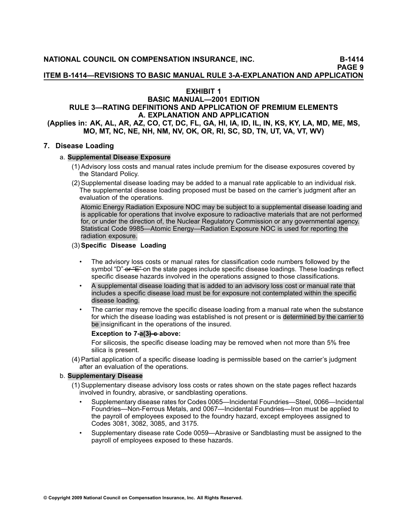**ITEM B1414—REVISIONS TO BASIC MANUAL RULE 3AEXPLANATION AND APPLICATION**

# **EXHIBIT <sup>1</sup>**

#### **BASIC MANUAL—2001 EDITION RULE 3—RATING DEFINITIONS AND APPLICATION OF PREMIUM ELEMENTS A. EXPLANATION AND APPLICATION** (Applies in: AK, AL, AR, AZ, CO, CT, DC, FL, GA, HI, IA, ID, IL, IN, KS, KY, LA, MD, ME, MS,

# MO, MT, NC, NE, NH, NM, NV, OK, OR, RI, SC, SD, TN, UT, VA, VT, WV)

# **7. Disease Loading**

#### a. **Supplemental Disease Exposure**

- (1) Advisory loss costs and manual rates include premium for the disease exposures covered by the Standard Policy.
- (2) Supplemental disease loading may be added to <sup>a</sup> manual rate applicable to an individual risk. The supplemental disease loading proposed must be based on the carrier's judgment after an evaluation of the operations.

Atomic Energy Radiation Exposure NOC may be subject to <sup>a</sup> supplemental disease loading and is applicable for operations that involve exposure to radioactive materials that are not performed for, or under the direction of, the Nuclear Regulatory Commission or any governmental agency. Statistical Code 9985—Atomic Energy—Radiation Exposure NOC is used for reporting the radiation exposure.

#### (3) **Specific Disease Loading**

- • The advisory loss costs or manual rates for classification code numbers followed by the symbol "D" of "E" on the state pages include specific disease loadings. These loadings reflect specific disease hazards involved in the operations assigned to those classifications.
- • <sup>A</sup> supplemental disease loading that is added to an advisory loss cost or manual rate that includes <sup>a</sup> specific disease load must be for exposure not contemplated within the specific disease loading.
- • The carrier may remove the specific disease loading from <sup>a</sup> manual rate when the substance for which the disease loading was established is not present or is determined by the carrier to be insignificant in the operations of the insured.

#### **Exception to 7-a(3)-e-above:**

For silicosis, the specific disease loading may be removed when not more than 5% free silica is present.

(4) Partial application of <sup>a</sup> specific disease loading is permissible based on the carrier's judgment after an evaluation of the operations.

#### b. **Supplementary Disease**

- (1) Supplementary disease advisory loss costs or rates shown on the state pages reflect hazards involved in foundry, abrasive, or sandblasting operations.
	- • Supplementary disease rates for Codes 0065—Incidental Foundries—Steel, 0066—Incidental Foundries—NonFerrous Metals, and 0067—Incidental Foundries—Iron must be applied to the payroll of employees exposed to the foundry hazard, except employees assigned to Codes [3081](file:///C:/manuscript/hyperlink.asp?docid=3081<?Pub & EntityName=amp>manualtitle=scopesxml ), [3082](file:///C:/manuscript/hyperlink.asp?docid=3082<?Pub & EntityName=amp>manualtitle=scopesxml ), [3085](file:///C:/manuscript/hyperlink.asp?docid=3085<?Pub & EntityName=amp>manualtitle=scopesxml ), and [3175](file:///C:/manuscript/hyperlink.asp?docid=3175<?Pub & EntityName=amp>manualtitle=scopesxml ).
	- • Supplementary disease rate Code 0059—Abrasive or Sandblasting must be assigned to the payroll of employees exposed to these hazards.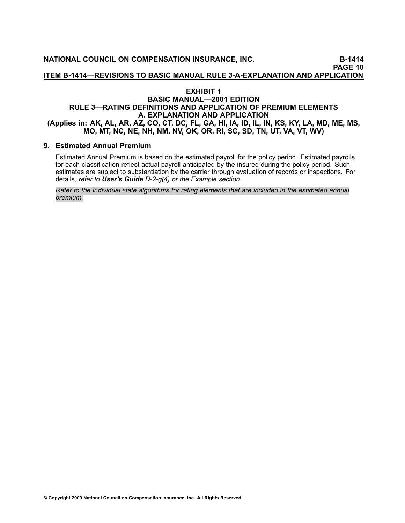# **EXHIBIT <sup>1</sup>**

# **BASIC MANUAL—2001 EDITION RULE 3—RATING DEFINITIONS AND APPLICATION OF PREMIUM ELEMENTS A. EXPLANATION AND APPLICATION** (Applies in: AK, AL, AR, AZ, CO, CT, DC, FL, GA, HI, IA, ID, IL, IN, KS, KY, LA, MD, ME, MS, MO, MT, NC, NE, NH, NM, NV, OK, OR, RI, SC, SD, TN, UT, VA, VT, WV)

# **9. Estimated Annual Premium**

Estimated Annual Premium is based on the estimated payroll for the policy [period](file:///C:/manuscript/hyperlink.asp?docid=Glossary-PolicyPeriod<?Pub & EntityName=amp>manualtitle=glossary). Estimated payrolls for each classification reflect actual payroll anticipated by the insured during the policy period. Such estimates are subject to substantiation by the carrier through evaluation of records or [inspections](file:///C:/manuscript/hyperlink.asp?docid=Glossary-Inspection<?Pub & EntityName=amp>manualtitle=glossary). For details, *refer to [User's](file:///C:/manuscript/hyperlink.asp?docid=UsersGuide-D-StandardPolicyInformationPageItemsDescribed<?Pub & EntityName=amp>manualtitle=usersguidexml) Guide D2g(4) or the Example section.*

Refer to the individual state algorithms for rating elements that are included in the estimated annual *premium.*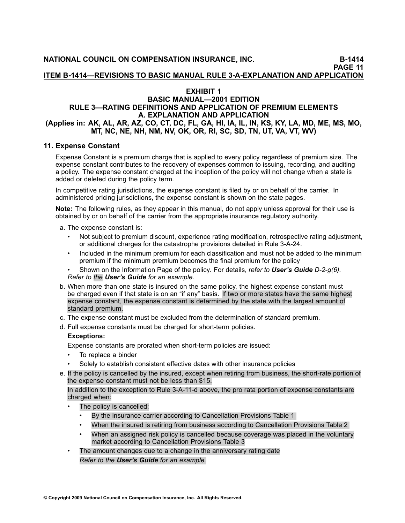**ITEM B1414—REVISIONS TO BASIC MANUAL RULE 3AEXPLANATION AND APPLICATION**

# **EXHIBIT <sup>1</sup>**

#### **BASIC MANUAL—2001 EDITION RULE 3—RATING DEFINITIONS AND APPLICATION OF PREMIUM ELEMENTS A. EXPLANATION AND APPLICATION** (Applies in: AK, AL, AR, AZ, CO, CT, DC, FL, GA, HI, IA, IL, IN, KS, KY, LA, MD, ME, MS, MO, MT, NC, NE, NH, NM, NV, OK, OR, RI, SC, SD, TN, UT, VA, VT, WV)

# **11. Expense Constant**

Expense Constant is <sup>a</sup> premium charge that is applied to every policy regardless of premium size. The expense constant contributes to the recovery of expenses common to issuing, recording, and auditing <sup>a</sup> policy. The expense constant charged at the inception of the policy will not change when <sup>a</sup> state is added or deleted during the policy term.

In competitive rating jurisdictions, the expense constant is filed by or on behalf of the carrier. In administered pricing jurisdictions, the expense constant is shown on the state pages.

**Note:** The following rules, as they appear in this manual, do not apply unless approval for their use is obtained by or on behalf of the carrier from the appropriate insurance regulatory authority.

a. The expense constant is:

- • Not subject to [premium](file:///C:/manuscript/hyperlink.asp?docid=Glossary-PremiumDiscountPlan<?Pub & EntityName=amp>manualtitle=glossary) discount, experience rating modification, [retrospective](file:///C:/manuscript/hyperlink.asp?docid=Glossary-RetrospectiveRating<?Pub & EntityName=amp>manualtitle=glossary) rating adjustment, or additional charges for the catastrophe provisions detailed in Rule 3-A-24.
- • Included in the minimum premium for each classification and must not be added to the minimum premium if the minimum premium becomes the final premium for the policy
- • Shown on the [Information](file:///C:/manuscript/hyperlink.asp?docid=Glossary-InformationPage<?Pub & EntityName=amp>manualtitle=glossary) Page of the policy. For details, *refer to [User's](file:///C:/manuscript/hyperlink.asp?docid=UsersGuide-D-StandardPolicyInformationPageItemsDescribed<?Pub & EntityName=amp>manualtitle=usersguidexml) Guide D2g(6). Refer to the [User's](file:///C:/manuscript/hyperlink.asp?docid=usersguide-G-examples-Rule3-A-11<?Pub & EntityName=amp>manualtitle=usersguidexml) Guide for an example.*
- b. When more than one state is insured on the same policy, the highest expense constant must be charged even if that state is on an "if [any](file:///C:/manuscript/hyperlink.asp?docid=Glossary-IfAny<?Pub & EntityName=amp>manualtitle=glossary)" basis. If two or more states have the same highest expense constant, the expense constant is determined by the state with the largest amount of standard premium.
- c. The expense constant must be excluded from the determination of standard premium.
- d. Full expense constants must be charged for short-term policies.

# **Exceptions:**

Expense constants are prorated when short-term policies are issued:

- •To replace <sup>a</sup> binder
- •Solely to establish consistent effective dates with other insurance policies
- e. If the policy is cancelled by the insured, except when retiring from business, the short-rate portion of the expense constant must not be less than \$15.

In addition to the exception to Rule 3-A-11-d above, the pro rata portion of expense constants are charged when:

- • The policy is cancelled:
	- •By the insurance carrier according to Cancellation Provisions Table <sup>1</sup>
	- •When the insured is retiring from business according to Cancellation Provisions Table <sup>2</sup>
	- • When an assigned risk policy is cancelled because coverage was placed in the voluntary market according to Cancellation Provisions Table <sup>3</sup>
- • The amount changes due to <sup>a</sup> change in the anniversary rating date *Refer to the User's Guide for an example.*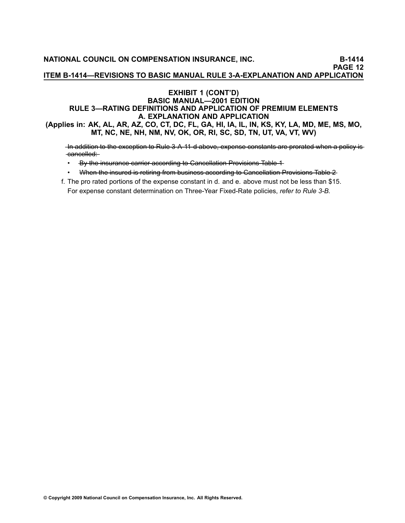#### **EXHIBIT <sup>1</sup> (CONT'D) BASIC MANUAL—2001 EDITION RULE 3—RATING DEFINITIONS AND APPLICATION OF PREMIUM ELEMENTS A. EXPLANATION AND APPLICATION** (Applies in: AK, AL, AR, AZ, CO, CT, DC, FL, GA, HI, IA, IL, IN, KS, KY, LA, MD, ME, MS, MO,

MT, NC, NE, NH, NM, NV, OK, OR, RI, SC, SD, TN, UT, VA, VT, WV)

In addition to the exception to Rule 3 A 11 d above, expense constants are prorated when a policy iscancelled:

- By the insurance carrier according to Cancellation Provisions Table 1<br>- مسجد الصحيح الصريح الصريح الصريح المستقلة المستقلة المستقلة المستقلة المستقلة المستقلة المستقلة المستقلة الم
- •When the insured is retiring from business according to Cancellation Provisions Table 2
- f. The pro rated portions of the expense constant in d. and e. above must not be less than \$15. For expense constant determination on Three-Year Fixed-Rate policies, *refer to [Rule](file:///C:/manuscript/hyperlink.asp?docid=Basic2001rule3-B<?Pub & EntityName=amp>manualtitle=basicrewritexml)* 3-B.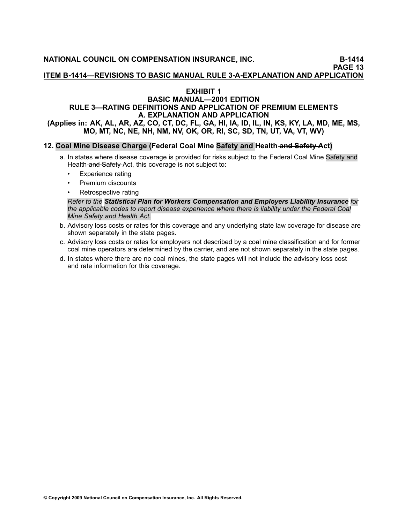**ITEM B1414—REVISIONS TO BASIC MANUAL RULE 3AEXPLANATION AND APPLICATION**

# **EXHIBIT <sup>1</sup>**

#### **BASIC MANUAL—2001 EDITION RULE 3—RATING DEFINITIONS AND APPLICATION OF PREMIUM ELEMENTS A. EXPLANATION AND APPLICATION** (Applies in: AK, AL, AR, AZ, CO, CT, DC, FL, GA, HI, IA, ID, IL, IN, KS, KY, LA, MD, ME, MS,

MO, MT, NC, NE, NH, NM, NV, OK, OR, RI, SC, SD, TN, UT, VA, VT, WV)

#### 12. Coal Mine Disease Charge (Federal Coal Mine Safety and Health and Safety Act)

- a. In states where disease coverage is provided for risks subject to the Federal Coal Mine Safety and Health and Safety Act, this coverage is not subject to:
	- •Experience rating
	- •Premium discounts
	- •Retrospective rating

Refer to the Statistical Plan for Workers [Compensation](https://www.ncci.com/manuals/statplan/statplan/national/statplan2008-national.htm) and Employers Liability Insurance for the applicable codes to report disease experience where there is liability under the Federal Coal *Mine Safety and Health Act.*

- b. Advisory loss costs or rates for this coverage and any underlying state law coverage for disease are shown separately in the state pages.
- c. Advisory loss costs or rates for employers not described by <sup>a</sup> coal mine classification and for former coal mine operators are determined by the carrier, and are not shown separately in the state pages.
- d. In states where there are no coal mines, the state pages will not include the advisory loss cost and rate information for this coverage.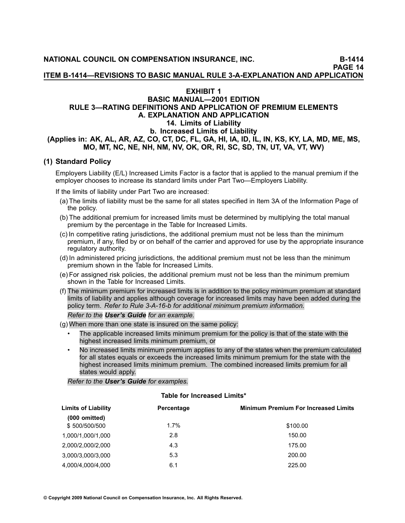**ITEM B1414—REVISIONS TO BASIC MANUAL RULE 3AEXPLANATION AND APPLICATION**

# **EXHIBIT <sup>1</sup>**

# **BASIC MANUAL—2001 EDITION RULE 3—RATING DEFINITIONS AND APPLICATION OF PREMIUM ELEMENTS A. EXPLANATION AND APPLICATION 14. Limits of Liability b. Increased Limits of Liability** (Applies in: AK, AL, AR, AZ, CO, CT, DC, FL, GA, HI, IA, ID, IL, IN, KS, KY, LA, MD, ME, MS, MO, MT, NC, NE, NH, NM, NV, OK, OR, RI, SC, SD, TN, UT, VA, VT, WV)

# **(1) Standard Policy**

Employers Liability (E/L) Increased Limits Factor is <sup>a</sup> factor that is applied to the manual premium if the employer chooses to increase its standard limits under Part Two—Employers Liability.

If the limits of liability under Part Two are increased:

- (a) The limits of liability must be the same for all states specified in Item 3A of the Information Page of the policy.
- (b) The additional premium for increased limits must be determined by multiplying the total manual premium by the percentage in the Table for Increased Limits.
- (c) In competitive rating jurisdictions, the additional premium must not be less than the minimum premium, if any, filed by or on behalf of the carrier and approved for use by the appropriate insurance regulatory authority.
- (d) In administered pricing jurisdictions, the additional premium must not be less than the minimum premium shown in the Table for Increased Limits.
- (e) For assigned risk policies, the additional premium must not be less than the minimum premium shown in the Table for Increased Limits.
- (f) The minimum premium for increased limits is in addition to the policy minimum premium at standard limits of liability and applies although coverage for increased limits may have been added during the policy term. *Refer to Rule 3A16b for additional minimum premium information.*

*Refer to the [User's](file:///C:/manuscript/hyperlink.asp?docid=UsersGuide-G-Examples-Rule3-A-14-b-1-f) Guide for an example.*

- (g) When more than one state is insured on the same policy:
	- • The applicable increased limits minimum premium for the policy is that of the state with the highest increased limits minimum premium, or
	- • No increased limits minimum premium applies to any of the states when the premium calculated for all states equals or exceeds the increased limits minimum premium for the state with the highest increased limits minimum premium. The combined increased limits premium for all states would apply.

*Refer to the User's Guide for examples.*

#### **Table for Increased Limits\***

| <b>Limits of Liability</b> | Percentage | <b>Minimum Premium For Increased Limits</b> |
|----------------------------|------------|---------------------------------------------|
| $(000$ omitted)            |            |                                             |
| \$500/500/500              | $1.7\%$    | \$100.00                                    |
| 1,000/1,000/1,000          | 2.8        | 150.00                                      |
| 2.000/2.000/2.000          | 4.3        | 175.00                                      |
| 3,000/3,000/3,000          | 5.3        | 200.00                                      |
| 4.000/4.000/4.000          | 6.1        | 225.00                                      |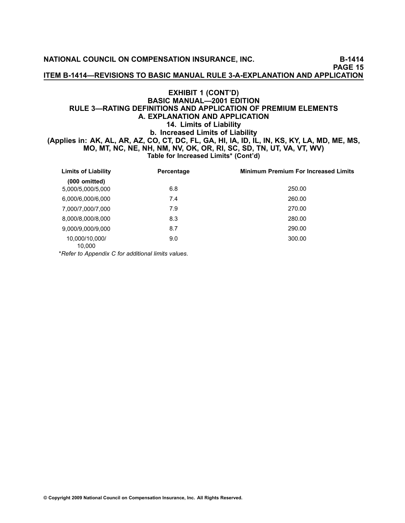**NATIONAL COUNCIL ON COMPENSATION INSURANCE, INC. B1414**

**PAGE <sup>15</sup>**

**ITEM B1414—REVISIONS TO BASIC MANUAL RULE 3AEXPLANATION AND APPLICATION**

## **EXHIBIT <sup>1</sup> (CONT'D) BASIC MANUAL—2001 EDITION RULE 3—RATING DEFINITIONS AND APPLICATION OF PREMIUM ELEMENTS A. EXPLANATION AND APPLICATION 14. Limits of Liability b. Increased Limits of Liability** (Applies in: AK, AL, AR, AZ, CO, CT, DC, FL, GA, HI, IA, ID, IL, IN, KS, KY, LA, MD, ME, MS, MO, MT, NC, NE, NH, NM, NV, OK, OR, RI, SC, SD, TN, UT, VA, VT, WV) **Table for Increased Limits\* (Cont'd)**

| <b>Limits of Liability</b>           | Percentage | <b>Minimum Premium For Increased Limits</b> |
|--------------------------------------|------------|---------------------------------------------|
| $(000$ omitted)<br>5,000/5,000/5,000 | 6.8        | 250.00                                      |
| 6,000/6,000/6,000                    | 7.4        | 260.00                                      |
| 7,000/7,000/7,000                    | 7.9        | 270.00                                      |
| 8,000/8,000/8,000                    | 8.3        | 280.00                                      |
| 9,000/9,000/9,000                    | 8.7        | 290.00                                      |
| 10,000/10,000/<br>10,000             | 9.0        | 300.00                                      |

\**Refer to [Appendix](file:///C:/manuscript/hyperlink.asp?docid=UsersGuideGeneralInformation-C) <sup>C</sup> for additional limits values*.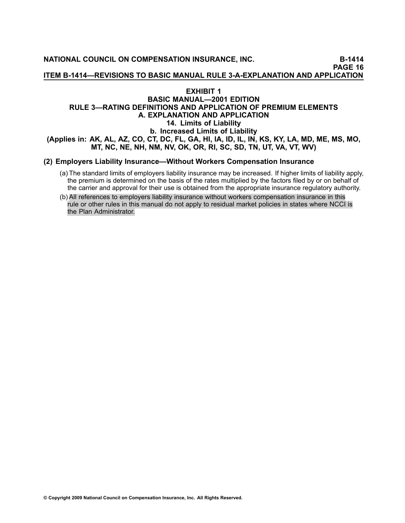**NATIONAL COUNCIL ON COMPENSATION INSURANCE, INC. B1414 PAGE <sup>16</sup> ITEM B1414—REVISIONS TO BASIC MANUAL RULE 3AEXPLANATION AND APPLICATION**

# **EXHIBIT <sup>1</sup> BASIC MANUAL—2001 EDITION RULE 3—RATING DEFINITIONS AND APPLICATION OF PREMIUM ELEMENTS A. EXPLANATION AND APPLICATION 14. Limits of Liability b. Increased Limits of Liability** (Applies in: AK, AL, AZ, CO, CT, DC, FL, GA, HI, IA, ID, IL, IN, KS, KY, LA, MD, ME, MS, MO, MT, NC, NE, NH, NM, NV, OK, OR, RI, SC, SD, TN, UT, VA, VT, WV)

# **(2) Employers Liability Insurance—Without Workers Compensation Insurance**

- (a) The standard limits of employers liability insurance may be increased. If higher limits of liability apply, the premium is determined on the basis of the rates multiplied by the factors filed by or on behalf of the carrier and approval for their use is obtained from the appropriate insurance regulatory authority.
- (b) All references to employers liability insurance without workers compensation insurance in this rule or other rules in this manual do not apply to residual market policies in states where NCCI is the Plan Administrator.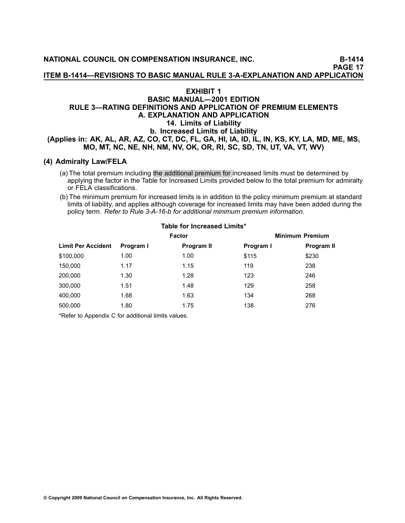**ITEM B1414—REVISIONS TO BASIC MANUAL RULE 3AEXPLANATION AND APPLICATION**

#### **EXHIBIT <sup>1</sup>**

#### **BASIC MANUAL—2001 EDITION RULE 3—RATING DEFINITIONS AND APPLICATION OF PREMIUM ELEMENTS A. EXPLANATION AND APPLICATION 14. Limits of Liability b. Increased Limits of Liability** (Applies in: AK, AL, AR, AZ, CO, CT, DC, FL, GA, HI, IA, ID, IL, IN, KS, KY, LA, MD, ME, MS, MO, MT, NC, NE, NH, NM, NV, OK, OR, RI, SC, SD, TN, UT, VA, VT, WV)

# **(4) Admiralty Law/FELA**

- (a) The total premium including the additional premium for increased limits must be determined by applying the factor in the Table for Increased Limits provided below to the total premium for admiralty or FELA classifications.
- (b) The minimum premium for increased limits is in addition to the policy minimum premium at standard limits of liability, and applies although coverage for increased limits may have been added during the policy term. *Refer to Rule [3A16b](file:///C:/manuscript/hyperlink.asp?docid=Basic2001rule3-A<?Pub & EntityName=amp>manualtitle-basicrewritexml) for additional minimum premium information.*

| TUNIU TUI TIIUTUUJUU EIIIIIW |           |               |                        |            |  |  |
|------------------------------|-----------|---------------|------------------------|------------|--|--|
|                              |           | <b>Factor</b> | <b>Minimum Premium</b> |            |  |  |
| <b>Limit Per Accident</b>    | Program I | Program II    | Program I              | Program II |  |  |
| \$100,000                    | 1.00      | 1.00          | \$115                  | \$230      |  |  |
| 150,000                      | 1.17      | 1.15          | 119                    | 238        |  |  |
| 200,000                      | 1.30      | 1.28          | 123                    | 246        |  |  |
| 300,000                      | 1.51      | 1.48          | 129                    | 258        |  |  |
| 400,000                      | 1.68      | 1.63          | 134                    | 268        |  |  |
| 500,000                      | 1.80      | 1.75          | 138                    | 276        |  |  |
|                              |           |               |                        |            |  |  |

# **Table for Increased Limits\***

\*Refer to [Appendix](file:///C:/manuscript/hyperlink.asp?docid=UsersGuideGeneralInformation-C) <sup>C</sup> for additional limits values.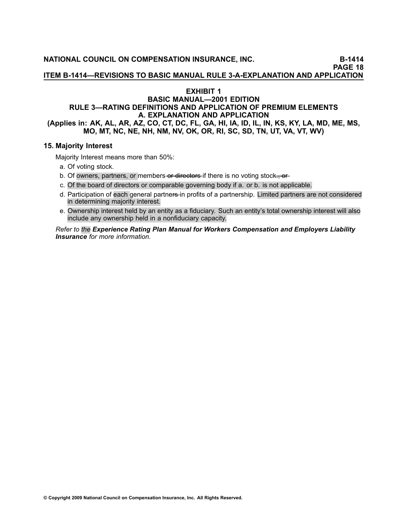**ITEM B1414—REVISIONS TO BASIC MANUAL RULE 3AEXPLANATION AND APPLICATION**

# **EXHIBIT <sup>1</sup>**

## **BASIC MANUAL—2001 EDITION RULE 3—RATING DEFINITIONS AND APPLICATION OF PREMIUM ELEMENTS A. EXPLANATION AND APPLICATION** (Applies in: AK, AL, AR, AZ, CO, CT, DC, FL, GA, HI, IA, ID, IL, IN, KS, KY, LA, MD, ME, MS, MO, MT, NC, NE, NH, NM, NV, OK, OR, RI, SC, SD, TN, UT, VA, VT, WV)

# **15. Majority Interest**

Majority Interest means more than 50%:

- a. Of voting stock.
- b. Of owners, partners, or members or directors if there is no voting stock., or-
- c. Of the board of directors or comparable governing body if a. or b. is not applicable.
- d. Participation of each general partners-in profits of a partnership. Limited partners are not considered in determining majority interest.
- e. Ownership interest held by an entity as <sup>a</sup> fiduciary. Such an entity's total ownership interest will also include any ownership held in <sup>a</sup> nonfiduciary capacity.

Refer to the Experience Rating Plan Manual for Workers [Compensation](file:///C:/manuscript/processlink.asp?manual=underwriting) and Employers Liability *[Insurance](file:///C:/manuscript/processlink.asp?manual=underwriting) for more information.*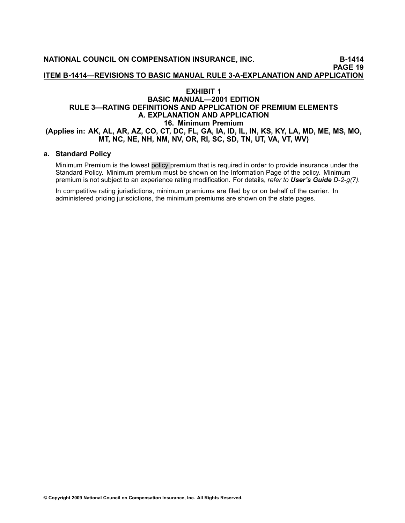# **EXHIBIT <sup>1</sup> BASIC MANUAL—2001 EDITION RULE 3—RATING DEFINITIONS AND APPLICATION OF PREMIUM ELEMENTS A. EXPLANATION AND APPLICATION 16. Minimum Premium** (Applies in: AK, AL, AR, AZ, CO, CT, DC, FL, GA, IA, ID, IL, IN, KS, KY, LA, MD, ME, MS, MO, MT, NC, NE, NH, NM, NV, OR, RI, SC, SD, TN, UT, VA, VT, WV)

# **a. Standard Policy**

Minimum Premium is the lowest policy premium that is required in order to provide insurance under the Standard Policy. Minimum premium must be shown on the Information Page of the policy. Minimum premium is not subject to an experience rating modification. For details, *refer to [User's](file:///C:/manuscript/hyperlink.asp?docid=UsersGuide-D-StandardPolicyInformationPageItemsDescribed<?Pub & EntityName=amp>manualtitle=usersguidexml) Guide D2g(7).*

In competitive rating jurisdictions, minimum premiums are filed by or on behalf of the carrier. In administered pricing jurisdictions, the minimum premiums are shown on the state pages.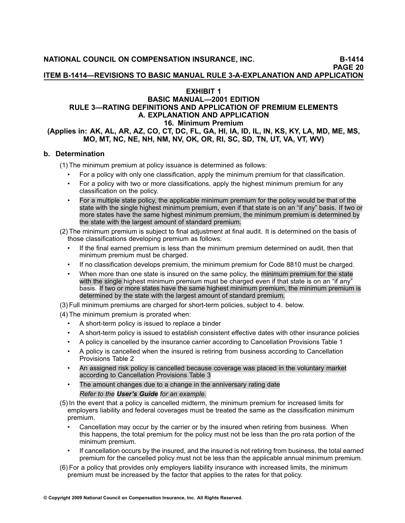**ITEM B1414—REVISIONS TO BASIC MANUAL RULE 3AEXPLANATION AND APPLICATION**

# **EXHIBIT <sup>1</sup>**

#### **BASIC MANUAL—2001 EDITION RULE 3—RATING DEFINITIONS AND APPLICATION OF PREMIUM ELEMENTS A. EXPLANATION AND APPLICATION 16. Minimum Premium** (Applies in: AK, AL, AR, AZ, CO, CT, DC, FL, GA, HI, IA, ID, IL, IN, KS, KY, LA, MD, ME, MS, MO. MT. NC. NE. NH. NM. NV, OK, OR, RI, SC, SD, TN, UT, VA, VT, WV)

#### **b. Determination**

(1) The minimum premium at policy issuance is determined as follows:

- •For <sup>a</sup> policy with only one classification, apply the minimum premium for that classification.
- • For <sup>a</sup> policy with two or more classifications, apply the highest minimum premium for any classification on the policy.
- • For <sup>a</sup> multiple state policy, the applicable minimum premium for the policy would be that of the state with the single highest minimum premium, even if that state is on an "if any" basis. If two or more states have the same highest minimum premium, the minimum premium is determined by the state with the largest amount of standard premium.

(2) The minimum premium is subject to final adjustment at final audit. It is determined on the basis of those classifications developing premium as follows:

- • If the final earned premium is less than the minimum premium determined on audit, then that minimum premium must be charged.
- •If no classification develops premium, the minimum premium for Code [8810](file:///C:/manuscript/hyperlink.asp?docid=8810<?Pub & EntityName=amp>manualtitle=scopesxml ) must be charged.
- • When more than one state is insured on the same policy, the minimum premium for the state with the single highest minimum premium must be charged even if that state is on an "if any" basis. If two or more states have the same highest minimum premium, the minimum premium is determined by the state with the largest amount of standard premium.

(3) Full minimum premiums are charged for short-term policies, subject to 4. below.

(4) The minimum premium is prorated when:

- •A short-term policy is issued to replace a binder
- •A short-term policy is issued to establish consistent effective dates with other insurance policies
- •<sup>A</sup> policy is cancelled by the insurance carrier according to Cancellation Provisions Table <sup>1</sup>
- • <sup>A</sup> policy is cancelled when the insured is retiring from business according to Cancellation Provisions Table <sup>2</sup>
- • An assigned risk policy is cancelled because coverage was placed in the voluntary market according to Cancellation Provisions Table <sup>3</sup>
- • The amount changes due to <sup>a</sup> change in the anniversary rating date *Refer to the [User's](file:///C:/manuscript/hyperlink.asp?docid=UsersGuide-G-Examples-Rule3-A-14-b-4) Guide for an example.*
- (5) In the event that <sup>a</sup> policy is cancelled midterm, the minimum premium for increased limits for employers liability and federal coverages must be treated the same as the classification minimum premium.
	- • Cancellation may occur by the carrier or by the insured when retiring from business. When this happens, the total premium for the policy must not be less than the pro rata portion of the minimum premium.
	- • If cancellation occurs by the insured, and the insured is not retiring from business, the total earned premium for the cancelled policy must not be less than the applicable annual minimum premium.
- (6) For <sup>a</sup> policy that provides only employers liability insurance with increased limits, the minimum premium must be increased by the factor that applies to the rates for that policy.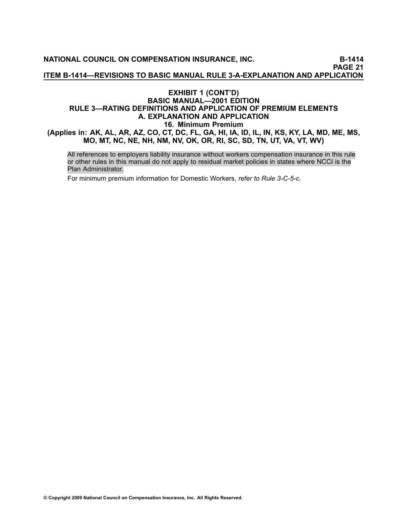**NATIONAL COUNCIL ON COMPENSATION INSURANCE, INC. B1414 PAGE <sup>21</sup> ITEM B1414—REVISIONS TO BASIC MANUAL RULE 3AEXPLANATION AND APPLICATION**

# **EXHIBIT <sup>1</sup> (CONT'D) BASIC MANUAL—2001 EDITION RULE 3—RATING DEFINITIONS AND APPLICATION OF PREMIUM ELEMENTS A. EXPLANATION AND APPLICATION 16. Minimum Premium** (Applies in: AK, AL, AR, AZ, CO, CT, DC, FL, GA, HI, IA, ID, IL, IN, KS, KY, LA, MD, ME, MS, MO, MT, NC, NE, NH, NM, NV, OK, OR, RI, SC, SD, TN, UT, VA, VT, WV)

All references to employers liability insurance without workers compensation insurance in this rule or other rules in this manual do not apply to residual market policies in states where NCCI is the Plan Administrator.

For minimum premium information for Domestic Workers, *refer to Rule [3C5c](file:///C:/manuscript/hyperlink.asp?docid=Basic2001Rule3-C<?Pub & EntityName=amp>manualtitle=basicrewritexml)*.

© Copyright 2009 National Council on Compensation Insurance, Inc. All Rights Reserved.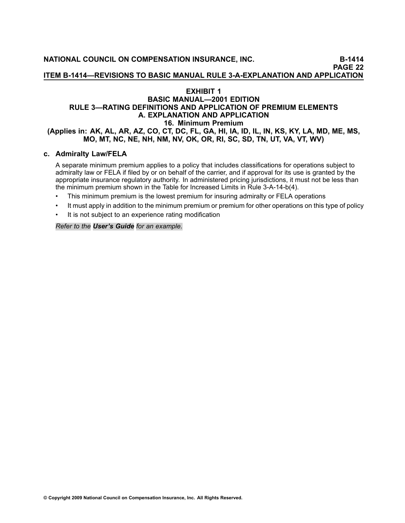# **EXHIBIT <sup>1</sup> BASIC MANUAL—2001 EDITION RULE 3—RATING DEFINITIONS AND APPLICATION OF PREMIUM ELEMENTS A. EXPLANATION AND APPLICATION 16. Minimum Premium** (Applies in: AK, AL, AR, AZ, CO, CT, DC, FL, GA, HI, IA, ID, IL, IN, KS, KY, LA, MD, ME, MS, MO, MT, NC, NE, NH, NM, NV, OK, OR, RI, SC, SD, TN, UT, VA, VT, WV)

#### **c. Admiralty Law/FELA**

<sup>A</sup> separate minimum premium applies to <sup>a</sup> policy that includes classifications for operations subject to admiralty law or FELA if filed by or on behalf of the carrier, and if approval for its use is granted by the appropriate insurance regulatory authority. In administered pricing jurisdictions, it must not be less than the minimum premium shown in the Table for Increased Limits in Rule 3-A-14-b(4).

- •This minimum premium is the lowest premium for insuring admiralty or FELA operations
- •It must apply in addition to the minimum premium or premium for other operations on this type of policy
- •It is not subject to an experience rating modification

*Refer to the [User's](file:///C:/manuscript/hyperlink.asp?docid=UsersGuide-G-Examples-Rule3-A-16-c) Guide for an example.*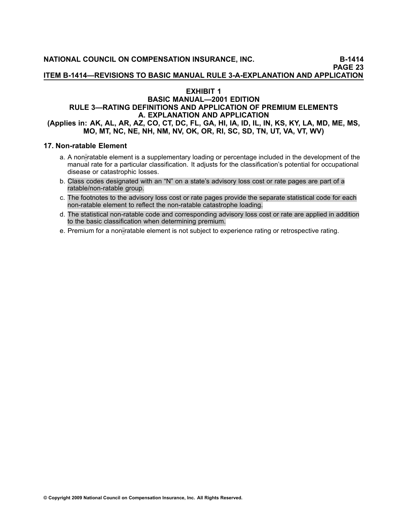**ITEM B1414—REVISIONS TO BASIC MANUAL RULE 3AEXPLANATION AND APPLICATION**

# **EXHIBIT <sup>1</sup>**

#### **BASIC MANUAL—2001 EDITION RULE 3—RATING DEFINITIONS AND APPLICATION OF PREMIUM ELEMENTS A. EXPLANATION AND APPLICATION** (Applies in: AK, AL, AR, AZ, CO, CT, DC, FL, GA, HI, IA, ID, IL, IN, KS, KY, LA, MD, ME, MS, MO, MT, NC, NE, NH, NM, NV, OK, OR, RI, SC, SD, TN, UT, VA, VT, WV)

#### **17. Nonratable Element**

- a. A non-ratable element is a supplementary loading or percentage included in the development of the manual rate for <sup>a</sup> particular classification. It adjusts for the classification's potential for [occupational](file:///C:/manuscript/hyperlink.asp?docid=Glossary-OccupationalDisease<?Pub & EntityName=amp>manualtitle=glossary) [disease](file:///C:/manuscript/hyperlink.asp?docid=Glossary-OccupationalDisease<?Pub & EntityName=amp>manualtitle=glossary) or catastrophic losses.
- b. Class codes designated with an "N" on <sup>a</sup> state's advisory loss cost or rate pages are part of <sup>a</sup> ratable/non-ratable group.
- c. The footnotes to the advisory loss cost or rate pages provide the separate statistical code for each non-ratable element to reflect the non-ratable catastrophe loading.
- d. The statistical non-ratable code and corresponding advisory loss cost or rate are applied in addition to the basic classification when determining premium.
- e. Premium for a non-ratable element is not subject to experience rating or retrospective rating.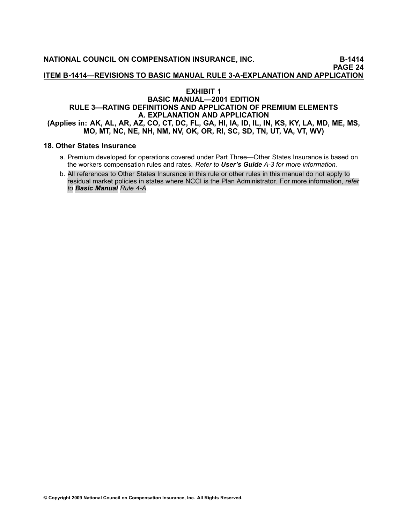#### **EXHIBIT <sup>1</sup>**

# **BASIC MANUAL—2001 EDITION RULE 3—RATING DEFINITIONS AND APPLICATION OF PREMIUM ELEMENTS A. EXPLANATION AND APPLICATION** (Applies in: AK, AL, AR, AZ, CO, CT, DC, FL, GA, HI, IA, ID, IL, IN, KS, KY, LA, MD, ME, MS, MO, MT, NC, NE, NH, NM, NV, OK, OR, RI, SC, SD, TN, UT, VA, VT, WV)

#### **18. Other States Insurance**

- a. Premium developed for operations covered under Part Three—Other States Insurance is based on the workers compensation rules and rates. *Refer to [User's](file:///C:/manuscript/hyperlink.asp?docid=UsersGuideGeneralInformation-A<?Pub & EntityName=amp>manualtitle=usersguidexml) Guide A3 for more information.*
- b. All references to Other States Insurance in this rule or other rules in this manual do not apply to residual market policies in states where NCCI is the Plan Administrator. For more information, *refer to Basic [Manual](file:///C:/manuscript/hyperlink.asp?docid=Basic2001Rule4-A) Rule 4A*.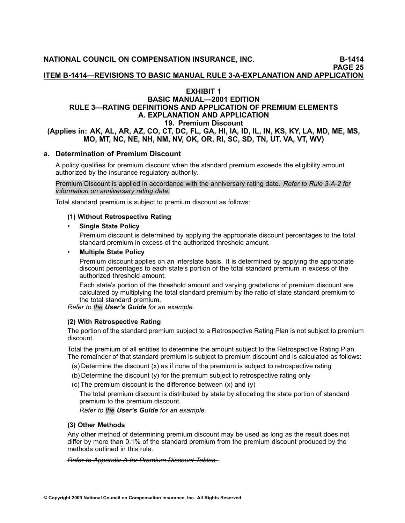**ITEM B1414—REVISIONS TO BASIC MANUAL RULE 3AEXPLANATION AND APPLICATION**

#### **EXHIBIT <sup>1</sup>**

#### **BASIC MANUAL—2001 EDITION RULE 3—RATING DEFINITIONS AND APPLICATION OF PREMIUM ELEMENTS A. EXPLANATION AND APPLICATION 19. Premium Discount** (Applies in: AK, AL, AR, AZ, CO, CT, DC, FL, GA, HI, IA, ID, IL, IN, KS, KY, LA, MD, ME, MS, MO, MT, NC, NE, NH, NM, NV, OK, OR, RI, SC, SD, TN, UT, VA, VT, WV)

#### **a. Determination of Premium Discount**

<sup>A</sup> policy qualifies for [premium](file:///C:/manuscript/hyperlink.asp?docid=Glossary-PremiumDiscountPlan<?Pub & EntityName=amp>manualtitle=glossary) discount when the standard premium exceeds the eligibility amount authorized by the insurance regulatory authority.

Premium Discount is applied in accordance with the anniversary rating date. *Refer to Rule 3A2 for information on anniversary rating date.*

Total standard premium is subject to [premium](file:///C:/manuscript/hyperlink.asp?docid=Glossary-PremiumDiscountPlan<?Pub & EntityName=amp>manualtitle=glossary) discount as follows:

#### **(1) Without Retrospective Rating**

#### •**Single State Policy**

Premium discount is determined by applying the appropriate discount percentages to the total standard premium in excess of the authorized threshold amount.

#### •**Multiple State Policy**

Premium discount applies on an interstate basis. It is determined by applying the appropriate discount percentages to each state's portion of the total standard premium in excess of the authorized threshold amount.

Each state's portion of the threshold amount and varying gradations of [premium](file:///C:/manuscript/hyperlink.asp?docid=Glossary-PremiumDiscountPlan<?Pub & EntityName=amp>manualtitle=glossary) discount are calculated by multiplying the total standard premium by the ratio of state standard premium to the total standard premium.

*Refer to the [User's](file:///C:/manuscript/hyperlink.asp?docid=UsersGuide-G-Examples-Rule3-A-19-b) Guide for an example.*

#### **(2) With Retrospective Rating**

The portion of the standard premium subject to <sup>a</sup> Retrospective Rating Plan is not subject to [premium](file:///C:/manuscript/hyperlink.asp?docid=Glossary-PremiumDiscountPlan<?Pub & EntityName=amp>manualtitle=glossary) [discount](file:///C:/manuscript/hyperlink.asp?docid=Glossary-PremiumDiscountPlan<?Pub & EntityName=amp>manualtitle=glossary).

Total the premium of all entities to determine the amount subject to the Retrospective Rating Plan. The remainder of that standard premium is subject to [premium](file:///C:/manuscript/hyperlink.asp?docid=Glossary-PremiumDiscountPlan<?Pub & EntityName=amp>manualtitle=glossary) discount and is calculated as follows:

- (a) Determine the discount (x) as if none of the premium is subject to retrospective rating
- (b) Determine the discount (y) for the premium subject to retrospective rating only
- (c) The [premium](file:///C:/manuscript/hyperlink.asp?docid=Glossary-PremiumDiscountPlan<?Pub & EntityName=amp>manualtitle=glossary) discount is the difference between (x) and (y)

The total [premium](file:///C:/manuscript/hyperlink.asp?docid=Glossary-PremiumDiscountPlan<?Pub & EntityName=amp>manualtitle=basicrewritexml) discount is distributed by state by allocating the state portion of standard premium to the [premium](file:///C:/manuscript/hyperlink.asp?docid=Glossary-PremiumDiscountPlan<?Pub & EntityName=amp>manualtitle=basicrewritexml) discount.

*Refer to the [User's](file:///C:/manuscript/hyperlink.asp?docid=UsersGuide-G-Examples-Rule3-A-19-b) Guide for an example.*

#### **(3) Other Methods**

Any other method of determining [premium](file:///C:/manuscript/hyperlink.asp?docid=Glossary-PremiumDiscountPlan<?Pub & EntityName=amp>manualtitle=glossary) discount may be used as long as the result does not differ by more than 0.1% of the standard premium from the [premium](file:///C:/manuscript/hyperlink.asp?docid=Glossary-PremiumDiscountPlan<?Pub & EntityName=amp>manualtitle=glossary) discount produced by the methods outlined in this rule.

*R—e—f—e—r—*—*t—o—*—*[A—p—p—e—n—d—i—x—](file:///C:/manuscript/hyperlink.asp?docid=Basic2001AppendixA-StateReferenceChartPremiumDiscountTables<?Pub & EntityName=amp>manualtitle=basicrewritexml)*—*A—*—*f—o—r—*—*P—r—e—m—i—u—m—*—*D—i—s—c—o—u—n—t—*—*T—a—b—l—e—s—.—*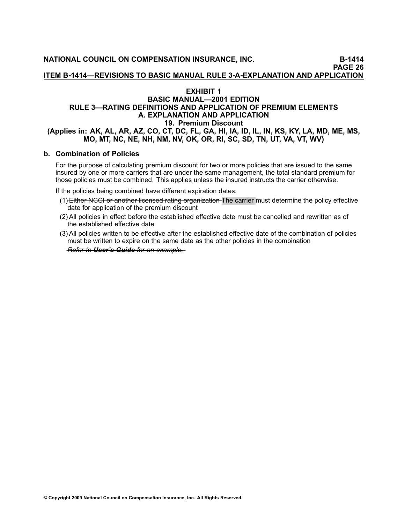# **EXHIBIT <sup>1</sup>**

# **BASIC MANUAL—2001 EDITION RULE 3—RATING DEFINITIONS AND APPLICATION OF PREMIUM ELEMENTS A. EXPLANATION AND APPLICATION 19. Premium Discount** (Applies in: AK, AL, AR, AZ, CO, CT, DC, FL, GA, HI, IA, ID, IL, IN, KS, KY, LA, MD, ME, MS, MO, MT, NC, NE, NH, NM, NV, OK, OR, RI, SC, SD, TN, UT, VA, VT, WV)

#### **b. Combination of Policies**

For the purpose of calculating [premium](file:///C:/manuscript/hyperlink.asp?docid=Glossary-PremiumDiscountPlan<?Pub & EntityName=amp>manualtitle=glossary) discount for two or more policies that are issued to the same insured by one or more carriers that are under the same management, the total standard premium for those policies must be combined. This applies unless the insured instructs the carrier otherwise.

If the policies being combined have different expiration dates:

- (1) Either NCCI or another licensed rating organization The carrier must determine the policy effective date for application of the [premium](file:///C:/manuscript/hyperlink.asp?docid=Glossary-PremiumDiscountPlan<?Pub & EntityName=amp>manualtitle=glossary) discount
- (2) All policies in effect before the established effective date must be cancelled and rewritten as of the established effective date
- (3) All policies written to be effective after the established effective date of the combination of policies must be written to expire on the same date as the other policies in the combination

*Refer to User's Guide for an example.*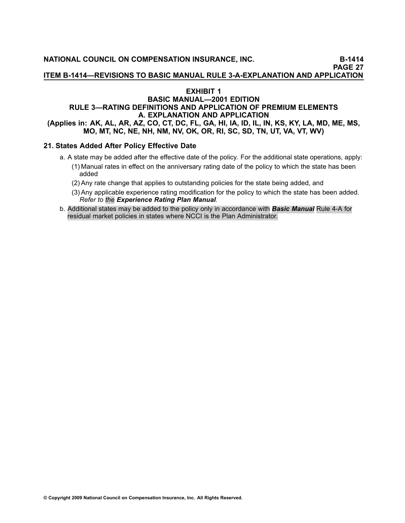**ITEM B1414—REVISIONS TO BASIC MANUAL RULE 3AEXPLANATION AND APPLICATION**

#### **EXHIBIT <sup>1</sup>**

# **BASIC MANUAL—2001 EDITION RULE 3—RATING DEFINITIONS AND APPLICATION OF PREMIUM ELEMENTS A. EXPLANATION AND APPLICATION** (Applies in: AK, AL, AR, AZ, CO, CT, DC, FL, GA, HI, IA, ID, IL, IN, KS, KY, LA, MD, ME, MS, MO, MT, NC, NE, NH, NM, NV, OK, OR, RI, SC, SD, TN, UT, VA, VT, WV)

# **21. States Added After Policy Effective Date**

- a. <sup>A</sup> state may be added after the effective date of the policy. For the additional state operations, apply:
	- (1) Manual rates in effect on the anniversary rating date of the policy to which the state has been added
	- (2) Any rate change that applies to outstanding policies for the state being added, and
	- (3) Any applicable experience rating modification for the policy to which the state has been added. *Refer to the [Experience](file:///C:/manuscript/processlink.asp?manual=underwriting) Rating Plan Manual.*
- b. Additional states may be added to the policy only in accordance with *Basic [Manual](file:///C:/manuscript/hyperlink.asp?docid=Basic2001Rule4-A)* Rule 4A for residual market policies in states where NCCI is the Plan Administrator.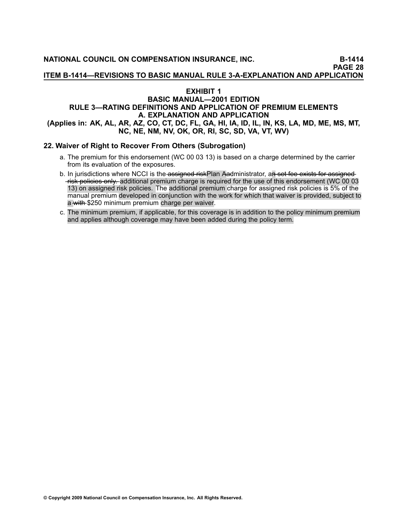**ITEM B1414—REVISIONS TO BASIC MANUAL RULE 3AEXPLANATION AND APPLICATION**

#### **EXHIBIT <sup>1</sup>**

#### **BASIC MANUAL—2001 EDITION RULE 3—RATING DEFINITIONS AND APPLICATION OF PREMIUM ELEMENTS A. EXPLANATION AND APPLICATION** (Applies in: AK, AL, AR, AZ, CO, CT, DC, FL, GA, HI, IA, ID, IL, IN, KS, LA, MD, ME, MS, MT, **NC, NE, NM, NV, OK, OR, RI, SC, SD, VA, VT, WV)**

#### **22. Waiver of Right to Recover From Others (Subrogation)**

- a. The premium for this endorsement ([WC](file:///C:/manuscript/hyperlink.asp?docid=Forms-000313<?Pub & EntityName=amp>manualtitle=forms) <sup>00</sup> <sup>03</sup> 13) is based on <sup>a</sup> charge determined by the carrier from its evaluation of the exposures.
- b. In jurisdictions where NCCI is the assigned riskPlan Aadministrator, an set fee exists for assigned risk policies only. additional premium charge is required for the use of this endorsement [\(WC](file:///C:/manuscript/hyperlink.asp?docid=Forms-000313) 00 03 [13\)](file:///C:/manuscript/hyperlink.asp?docid=Forms-000313) on assigned risk policies. The additional premium charge for assigned risk policies is 5% of the manual premium developed in conjunction with the work for which that waiver is provided, subject to a with \$250 minimum premium charge per waiver.
- c. The minimum premium, if applicable, for this coverage is in addition to the policy minimum premium and applies although coverage may have been added during the policy term.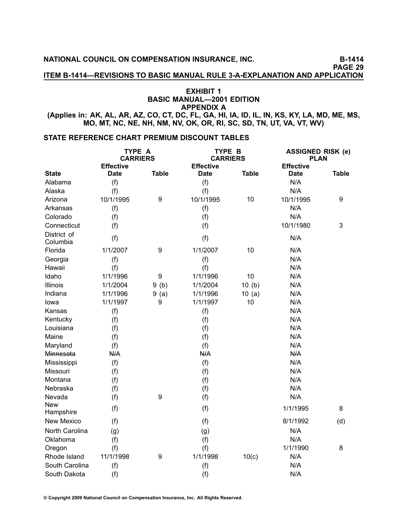**NATIONAL COUNCIL ON COMPENSATION INSURANCE, INC. B1414**

**PAGE <sup>29</sup>**

**ITEM B1414—REVISIONS TO BASIC MANUAL RULE 3AEXPLANATION AND APPLICATION**

# **EXHIBIT <sup>1</sup> BASIC MANUAL—2001 EDITION APPENDIX <sup>A</sup>**

(Applies in: AK, AL, AR, AZ, CO, CT, DC, FL, GA, HI, IA, ID, IL, IN, KS, KY, LA, MD, ME, MS, MO, MT, NC, NE, NH, NM, NV, OK, OR, RI, SC, SD, TN, UT, VA, VT, WV)

# **STATE REFERENCE CHART PREMIUM DISCOUNT TABLES**

|                         | TYPE A<br><b>CARRIERS</b> |                  | TYPE B<br><b>CARRIERS</b> |              | <b>ASSIGNED RISK (e)</b><br><b>PLAN</b> |              |
|-------------------------|---------------------------|------------------|---------------------------|--------------|-----------------------------------------|--------------|
|                         | <b>Effective</b>          |                  | <b>Effective</b>          |              | <b>Effective</b>                        |              |
| <b>State</b>            | <b>Date</b>               | <b>Table</b>     | <b>Date</b>               | <b>Table</b> | <b>Date</b>                             | <b>Table</b> |
| Alabama                 | (f)                       |                  | (f)                       |              | N/A                                     |              |
| Alaska                  | (f)                       |                  | (f)                       |              | N/A                                     |              |
| Arizona                 | 10/1/1995                 | $\boldsymbol{9}$ | 10/1/1995                 | 10           | 10/1/1995                               | 9            |
| Arkansas                | (f)                       |                  | (f)                       |              | N/A                                     |              |
| Colorado                | (f)                       |                  | (f)                       |              | N/A                                     |              |
| Connecticut             | (f)                       |                  | (f)                       |              | 10/1/1980                               | 3            |
| District of<br>Columbia | (f)                       |                  | (f)                       |              | N/A                                     |              |
| Florida                 | 1/1/2007                  | 9                | 1/1/2007                  | 10           | N/A                                     |              |
| Georgia                 | (f)                       |                  | (f)                       |              | N/A                                     |              |
| Hawaii                  | (f)                       |                  | (f)                       |              | N/A                                     |              |
| Idaho                   | 1/1/1996                  | $\boldsymbol{9}$ | 1/1/1996                  | 10           | N/A                                     |              |
| Illinois                | 1/1/2004                  | 9(b)             | 1/1/2004                  | 10(b)        | N/A                                     |              |
| Indiana                 | 1/1/1996                  | 9(a)             | 1/1/1996                  | 10(a)        | N/A                                     |              |
| Iowa                    | 1/1/1997                  | $\boldsymbol{9}$ | 1/1/1997                  | 10           | N/A                                     |              |
| Kansas                  | (f)                       |                  | (f)                       |              | N/A                                     |              |
| Kentucky                | (f)                       |                  | (f)                       |              | N/A                                     |              |
| Louisiana               | (f)                       |                  | (f)                       |              | N/A                                     |              |
| Maine                   | (f)                       |                  | (f)                       |              | N/A                                     |              |
| Maryland                | (f)                       |                  | (f)                       |              | N/A                                     |              |
| Minnesota               | N/A                       |                  | N/A                       |              | N/A                                     |              |
| Mississippi             | (f)                       |                  | (f)                       |              | N/A                                     |              |
| Missouri                | (f)                       |                  | (f)                       |              | N/A                                     |              |
| Montana                 | (f)                       |                  | (f)                       |              | N/A                                     |              |
| Nebraska                | (f)                       |                  | (f)                       |              | N/A                                     |              |
| Nevada                  | (f)                       | $\boldsymbol{9}$ | (f)                       |              | N/A                                     |              |
| New<br>Hampshire        | (f)                       |                  | (f)                       |              | 1/1/1995                                | 8            |
| <b>New Mexico</b>       | (f)                       |                  | (f)                       |              | 8/1/1992                                | (d)          |
| North Carolina          | (g)                       |                  | (g)                       |              | N/A                                     |              |
| Oklahoma                | (f)                       |                  | (f)                       |              | N/A                                     |              |
| Oregon                  | (f)                       |                  | (f)                       |              | 1/1/1990                                | 8            |
| Rhode Island            | 11/1/1998                 | 9                | 1/1/1998                  | 10(c)        | N/A                                     |              |
| South Carolina          | (f)                       |                  | (f)                       |              | N/A                                     |              |
| South Dakota            | (f)                       |                  | (f)                       |              | N/A                                     |              |

© Copyright 2009 National Council on Compensation Insurance, Inc. All Rights Reserved.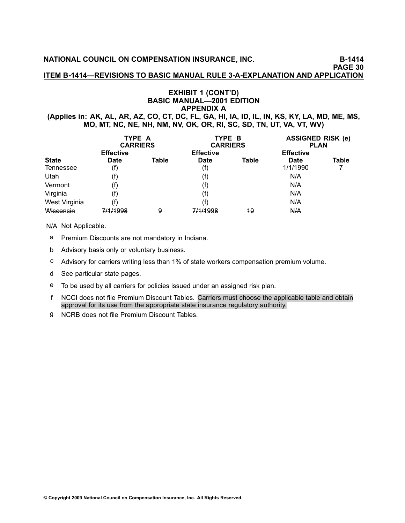**NATIONAL COUNCIL ON COMPENSATION INSURANCE, INC. B1414**

**PAGE <sup>30</sup>**

**ITEM B1414—REVISIONS TO BASIC MANUAL RULE 3AEXPLANATION AND APPLICATION**

# **EXHIBIT <sup>1</sup> (CONT'D) BASIC MANUAL—2001 EDITION APPENDIX <sup>A</sup>**

(Applies in: AK, AL, AR, AZ, CO, CT, DC, FL, GA, HI, IA, ID, IL, IN, KS, KY, LA, MD, ME, MS, MO, MT, NC, NE, NH, NM, NV, OK, OR, RI, SC, SD, TN, UT, VA, VT, WV)

|               | TYPE A<br><b>CARRIERS</b> |       | TYPE B<br><b>CARRIERS</b> |       | <b>ASSIGNED RISK (e)</b><br><b>PLAN</b> |       |
|---------------|---------------------------|-------|---------------------------|-------|-----------------------------------------|-------|
|               | <b>Effective</b>          |       | <b>Effective</b>          |       | <b>Effective</b>                        |       |
| <b>State</b>  | <b>Date</b>               | Table | <b>Date</b>               | Table | <b>Date</b>                             | Table |
| Tennessee     | (f)                       |       | (f)                       |       | 1/1/1990                                |       |
| Utah          | (f)                       |       | (f)                       |       | N/A                                     |       |
| Vermont       | (f)                       |       | (f)                       |       | N/A                                     |       |
| Virginia      | (f)                       |       | (f)                       |       | N/A                                     |       |
| West Virginia | (f)                       |       | (f)                       |       | N/A                                     |       |
| Wisconsin     | 7/1/1998                  | 9     | 7/1/1998                  | 10    | N/A                                     |       |

N/A Not Applicable.

- <sup>a</sup> Premium Discounts are not mandatory in Indiana.
- <sup>b</sup> Advisory basis only or voluntary business.
- <sup>c</sup> Advisory for carriers writing less than 1% of state workers compensation premium volume.
- <sup>d</sup> See particular state pages.
- <sup>e</sup> To be used by all carriers for policies issued under an assigned risk plan.
- <sup>f</sup> NCCI does not file Premium Discount Tables. Carriers must choose the applicable table and obtain approval for its use from the appropriate state insurance regulatory authority.
- <sup>g</sup> NCRB does not file Premium Discount Tables.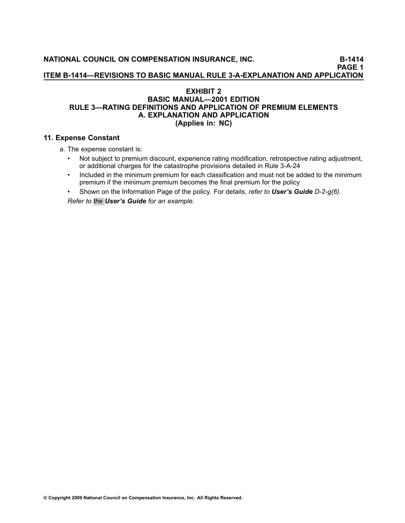**ITEM B1414—REVISIONS TO BASIC MANUAL RULE 3AEXPLANATION AND APPLICATION**

**PAGE <sup>1</sup>**

# **EXHIBIT <sup>2</sup> BASIC MANUAL—2001 EDITION RULE 3—RATING DEFINITIONS AND APPLICATION OF PREMIUM ELEMENTS A. EXPLANATION AND APPLICATION (Applies in: NC)**

# **11. Expense Constant**

a. The expense constant is:

- • Not subject to premium discount, experience rating modification, retrospective rating adjustment, or additional charges for the catastrophe provisions detailed in Rule 3-A-24
- • Included in the minimum premium for each classification and must not be added to the minimum premium if the minimum premium becomes the final premium for the policy
- • Shown on the Information Page of the policy. For details, *refer to User's Guide D2g(6). Refer to the User's Guide for an example.*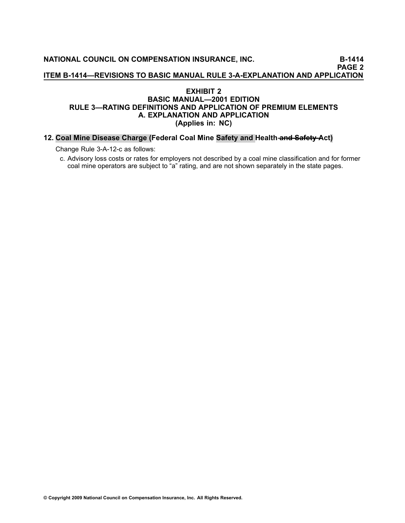**NATIONAL COUNCIL ON COMPENSATION INSURANCE, INC. B1414 PAGE <sup>2</sup> ITEM B1414—REVISIONS TO BASIC MANUAL RULE 3AEXPLANATION AND APPLICATION**

# **EXHIBIT <sup>2</sup> BASIC MANUAL—2001 EDITION RULE 3—RATING DEFINITIONS AND APPLICATION OF PREMIUM ELEMENTS A. EXPLANATION AND APPLICATION (Applies in: NC)**

#### 12. Coal Mine Disease Charge (Federal Coal Mine Safety and Health and Safety Act)

Change Rule 3-A-12-c as follows:

c. Advisory loss costs or rates for employers not described by <sup>a</sup> coal mine classification and for former coal mine operators are subject to "a" rating, and are not shown separately in the state pages.